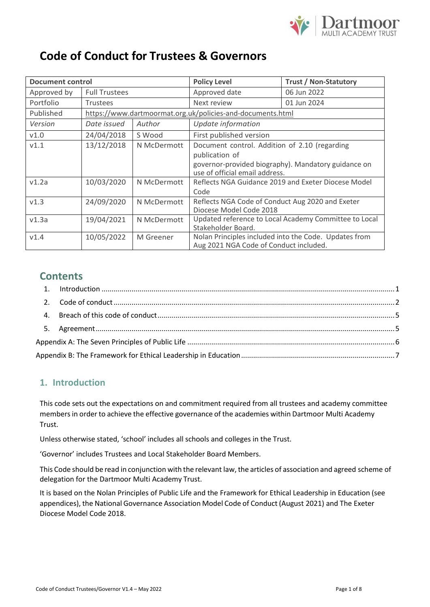

# **Code of Conduct for Trustees & Governors**

| <b>Document control</b> |                                                            |                                                                 | <b>Policy Level</b>                                 | <b>Trust / Non-Statutory</b>                          |
|-------------------------|------------------------------------------------------------|-----------------------------------------------------------------|-----------------------------------------------------|-------------------------------------------------------|
| Approved by             | <b>Full Trustees</b>                                       |                                                                 | Approved date                                       | 06 Jun 2022                                           |
| Portfolio               | <b>Trustees</b>                                            |                                                                 | Next review                                         | 01 Jun 2024                                           |
| Published               | https://www.dartmoormat.org.uk/policies-and-documents.html |                                                                 |                                                     |                                                       |
| Version                 | Date issued                                                | Author                                                          | Update information                                  |                                                       |
| V1.0                    | 24/04/2018                                                 | S Wood                                                          | First published version                             |                                                       |
| V1.1                    | 13/12/2018                                                 | N McDermott                                                     | Document control. Addition of 2.10 (regarding       |                                                       |
|                         |                                                            |                                                                 | publication of                                      |                                                       |
|                         |                                                            |                                                                 | governor-provided biography). Mandatory guidance on |                                                       |
|                         |                                                            |                                                                 | use of official email address.                      |                                                       |
| v1.2a                   | 10/03/2020                                                 | N McDermott                                                     | Reflects NGA Guidance 2019 and Exeter Diocese Model |                                                       |
|                         |                                                            |                                                                 | Code                                                |                                                       |
| v1.3                    | 24/09/2020                                                 | Reflects NGA Code of Conduct Aug 2020 and Exeter<br>N McDermott |                                                     |                                                       |
|                         |                                                            |                                                                 | Diocese Model Code 2018                             |                                                       |
| v1.3a                   | 19/04/2021                                                 | N McDermott                                                     |                                                     | Updated reference to Local Academy Committee to Local |
|                         |                                                            |                                                                 | Stakeholder Board.                                  |                                                       |
| V1.4                    | 10/05/2022                                                 | M Greener                                                       |                                                     | Nolan Principles included into the Code. Updates from |
|                         |                                                            |                                                                 | Aug 2021 NGA Code of Conduct included.              |                                                       |

# **Contents**

# <span id="page-0-0"></span>**1. Introduction**

This code sets out the expectations on and commitment required from all trustees and academy committee members in order to achieve the effective governance of the academies within Dartmoor Multi Academy Trust.

Unless otherwise stated, 'school' includes all schools and colleges in the Trust.

'Governor' includes Trustees and Local Stakeholder Board Members.

This Code should be read in conjunction with the relevant law, the articles of association and agreed scheme of delegation for the Dartmoor Multi Academy Trust.

It is based on the Nolan Principles of Public Life and the Framework for Ethical Leadership in Education (see appendices), the National Governance Association Model Code of Conduct (August 2021) and The Exeter Diocese Model Code 2018.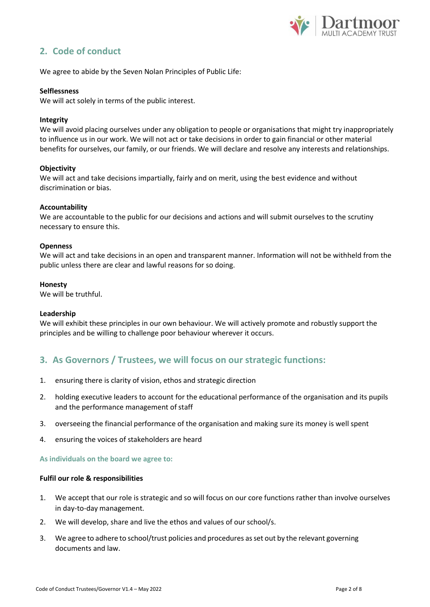

# <span id="page-1-0"></span>**2. Code of conduct**

We agree to abide by the Seven Nolan Principles of Public Life:

#### **Selflessness**

We will act solely in terms of the public interest.

#### **Integrity**

We will avoid placing ourselves under any obligation to people or organisations that might try inappropriately to influence us in our work. We will not act or take decisions in order to gain financial or other material benefits for ourselves, our family, or our friends. We will declare and resolve any interests and relationships.

#### **Objectivity**

We will act and take decisions impartially, fairly and on merit, using the best evidence and without discrimination or bias.

#### **Accountability**

We are accountable to the public for our decisions and actions and will submit ourselves to the scrutiny necessary to ensure this.

#### **Openness**

We will act and take decisions in an open and transparent manner. Information will not be withheld from the public unless there are clear and lawful reasons for so doing.

#### **Honesty**

We will be truthful.

#### **Leadership**

We will exhibit these principles in our own behaviour. We will actively promote and robustly support the principles and be willing to challenge poor behaviour wherever it occurs.

### **3. As Governors / Trustees, we will focus on our strategic functions:**

- 1. ensuring there is clarity of vision, ethos and strategic direction
- 2. holding executive leaders to account for the educational performance of the organisation and its pupils and the performance management of staff
- 3. overseeing the financial performance of the organisation and making sure its money is well spent
- 4. ensuring the voices of stakeholders are heard

#### **As individuals on the board we agree to:**

#### **Fulfil our role & responsibilities**

- 1. We accept that our role is strategic and so will focus on our core functions rather than involve ourselves in day-to-day management.
- 2. We will develop, share and live the ethos and values of our school/s.
- 3. We agree to adhere to school/trust policies and procedures asset out by the relevant governing documents and law.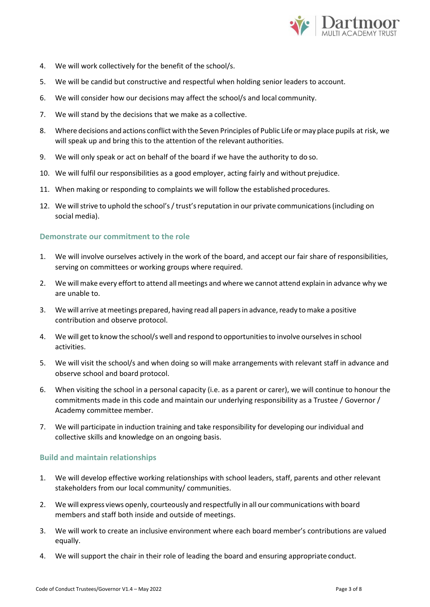

- 4. We will work collectively for the benefit of the school/s.
- 5. We will be candid but constructive and respectful when holding senior leaders to account.
- 6. We will consider how our decisions may affect the school/s and local community.
- 7. We will stand by the decisions that we make as a collective.
- 8. Where decisions and actions conflict with the Seven Principles of Public Life ormay place pupils at risk, we will speak up and bring this to the attention of the relevant authorities.
- 9. We will only speak or act on behalf of the board if we have the authority to do so.
- 10. We will fulfil our responsibilities as a good employer, acting fairly and without prejudice.
- 11. When making or responding to complaints we will follow the established procedures.
- 12. We will strive to uphold the school's / trust's reputation in our private communications (including on social media).

### **Demonstrate our commitment to the role**

- 1. We will involve ourselves actively in the work of the board, and accept our fair share of responsibilities, serving on committees or working groups where required.
- 2. We will make every effort to attend all meetings and where we cannot attend explain in advance why we are unable to.
- 3. We will arrive at meetings prepared, having read all papers in advance, ready to make a positive contribution and observe protocol.
- 4. We will get to know the school/s well and respond to opportunitiesto involve ourselvesin school activities.
- 5. We will visit the school/s and when doing so will make arrangements with relevant staff in advance and observe school and board protocol.
- 6. When visiting the school in a personal capacity (i.e. as a parent or carer), we will continue to honour the commitments made in this code and maintain our underlying responsibility as a Trustee / Governor / Academy committee member.
- 7. We will participate in induction training and take responsibility for developing our individual and collective skills and knowledge on an ongoing basis.

### **Build and maintain relationships**

- 1. We will develop effective working relationships with school leaders, staff, parents and other relevant stakeholders from our local community/ communities.
- 2. We will express views openly, courteously and respectfully in all our communications with board members and staff both inside and outside of meetings.
- 3. We will work to create an inclusive environment where each board member's contributions are valued equally.
- 4. We will support the chair in their role of leading the board and ensuring appropriate conduct.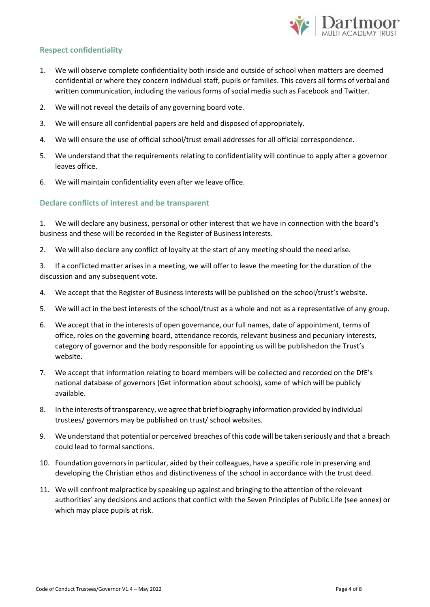

### **Respect confidentiality**

- 1. We will observe complete confidentiality both inside and outside of school when matters are deemed confidential or where they concern individual staff, pupils or families. This covers all forms of verbal and written communication, including the various forms of social media such as Facebook and Twitter.
- 2. We will not reveal the details of any governing board vote.
- 3. We will ensure all confidential papers are held and disposed of appropriately.
- 4. We will ensure the use of official school/trust email addresses for all official correspondence.
- 5. We understand that the requirements relating to confidentiality will continue to apply after a governor leaves office.
- 6. We will maintain confidentiality even after we leave office.

### **Declare conflicts of interest and be transparent**

1. We will declare any business, personal or other interest that we have in connection with the board's business and these will be recorded in the Register of Business Interests.

- 2. We will also declare any conflict of loyalty at the start of any meeting should the need arise.
- 3. If a conflicted matter arises in a meeting, we will offer to leave the meeting for the duration of the discussion and any subsequent vote.
- 4. We accept that the Register of Business Interests will be published on the school/trust's website.
- 5. We will act in the best interests of the school/trust as a whole and not as a representative of any group.
- 6. We accept that in the interests of open governance, our full names, date of appointment, terms of office, roles on the governing board, attendance records, relevant business and pecuniary interests, category of governor and the body responsible for appointing us will be publishedon the Trust's website.
- 7. We accept that information relating to board members will be collected and recorded on the DfE's national database of governors (Get information about schools), some of which will be publicly available.
- 8. In the interests oftransparency, we agree that brief biography information provided by individual trustees/ governors may be published on trust/ school websites.
- 9. We understand that potential or perceived breaches ofthis code will be taken seriously and that a breach could lead to formal sanctions.
- 10. Foundation governorsin particular, aided by their colleagues, have a specific role in preserving and developing the Christian ethos and distinctiveness of the school in accordance with the trust deed.
- <span id="page-3-0"></span>11. We will confront malpractice by speaking up against and bringing to the attention of the relevant authorities' any decisions and actions that conflict with the Seven Principles of Public Life (see annex) or which may place pupils at risk.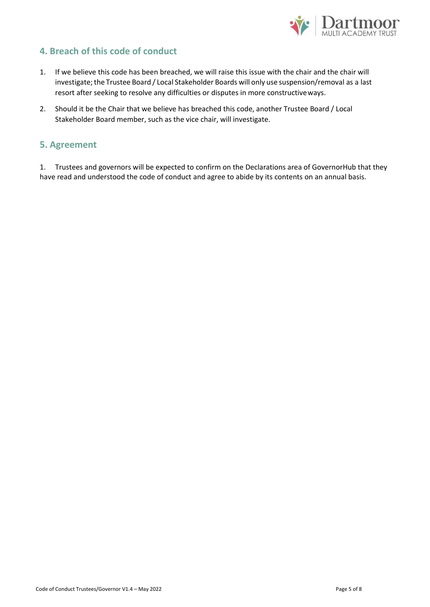

# **4. Breach of this code of conduct**

- 1. If we believe this code has been breached, we will raise this issue with the chair and the chair will investigate; the Trustee Board / Local Stakeholder Boards will only use suspension/removal as a last resort after seeking to resolve any difficulties or disputes in more constructiveways.
- 2. Should it be the Chair that we believe has breached this code, another Trustee Board / Local Stakeholder Board member, such as the vice chair, will investigate.

### <span id="page-4-0"></span>**5. Agreement**

1. Trustees and governors will be expected to confirm on the Declarations area of GovernorHub that they have read and understood the code of conduct and agree to abide by its contents on an annual basis.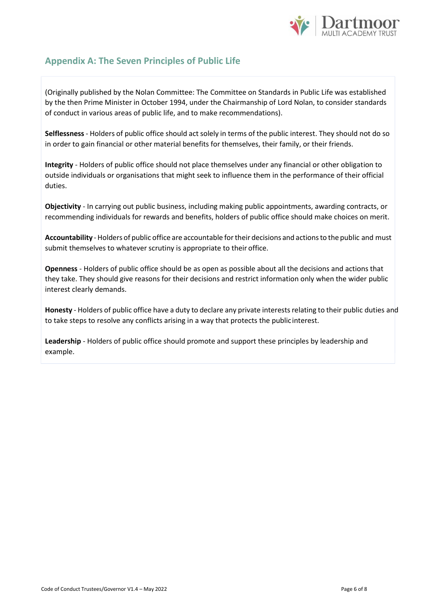

# <span id="page-5-0"></span>**Appendix A: The Seven Principles of Public Life**

(Originally published by the Nolan Committee: The Committee on Standards in Public Life was established by the then Prime Minister in October 1994, under the Chairmanship of Lord Nolan, to consider standards of conduct in various areas of public life, and to make recommendations).

**Selflessness** - Holders of public office should act solely in terms of the public interest. They should not do so in order to gain financial or other material benefits for themselves, their family, or their friends.

**Integrity** - Holders of public office should not place themselves under any financial or other obligation to outside individuals or organisations that might seek to influence them in the performance of their official duties.

**Objectivity** - In carrying out public business, including making public appointments, awarding contracts, or recommending individuals for rewards and benefits, holders of public office should make choices on merit.

**Accountability** - Holders of public office are accountable fortheir decisions and actionsto the public and must submit themselves to whatever scrutiny is appropriate to their office.

**Openness** - Holders of public office should be as open as possible about all the decisions and actions that they take. They should give reasons for their decisions and restrict information only when the wider public interest clearly demands.

**Honesty** - Holders of public office have a duty to declare any private interestsrelating to their public duties and to take steps to resolve any conflicts arising in a way that protects the publicinterest.

**Leadership** - Holders of public office should promote and support these principles by leadership and example.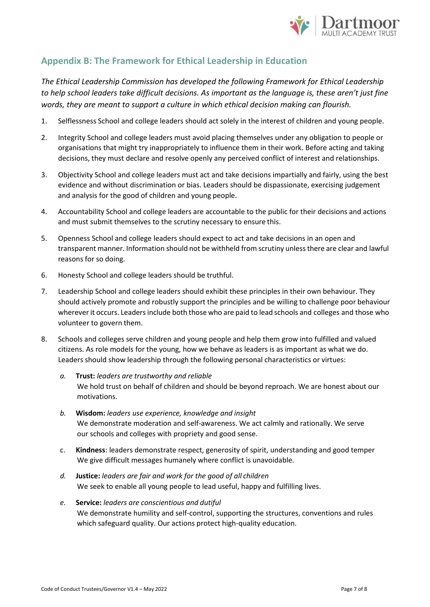

# <span id="page-6-0"></span>**Appendix B: The Framework for Ethical Leadership in Education**

*The Ethical Leadership Commission has developed the following Framework for Ethical Leadership to help school leaders take difficult decisions. As important as the language is, these aren't just fine words, they are meant to support a culture in which ethical decision making can flourish.*

- 1. Selflessness School and college leaders should act solely in the interest of children and young people.
- 2. Integrity School and college leaders must avoid placing themselves under any obligation to people or organisations that might try inappropriately to influence them in their work. Before acting and taking decisions, they must declare and resolve openly any perceived conflict of interest and relationships.
- 3. Objectivity School and college leaders must act and take decisions impartially and fairly, using the best evidence and without discrimination or bias. Leaders should be dispassionate, exercising judgement and analysis for the good of children and young people.
- 4. Accountability School and college leaders are accountable to the public for their decisions and actions and must submit themselves to the scrutiny necessary to ensure this.
- 5. Openness School and college leaders should expect to act and take decisions in an open and transparent manner. Information should not be withheld from scrutiny unlessthere are clear and lawful reasons for so doing.
- 6. Honesty School and college leaders should be truthful.
- 7. Leadership School and college leaders should exhibit these principles in their own behaviour. They should actively promote and robustly support the principles and be willing to challenge poor behaviour wherever it occurs. Leadersinclude both those who are paid to lead schools and colleges and those who volunteer to govern them.
- 8. Schools and colleges serve children and young people and help them grow into fulfilled and valued citizens. As role models for the young, how we behave as leaders is as important as what we do. Leaders should show leadership through the following personal characteristics or virtues:
	- *a.* **Trust:** *leaders are trustworthy and reliable* We hold trust on behalf of children and should be beyond reproach. We are honest about our motivations.
	- *b.* **Wisdom:** *leaders use experience, knowledge and insight* We demonstrate moderation and self-awareness. We act calmly and rationally. We serve our schools and colleges with propriety and good sense.
	- c. **Kindness**: leaders demonstrate respect, generosity of spirit, understanding and good temper We give difficult messages humanely where conflict is unavoidable.
	- *d.* **Justice:** *leaders are fair and work for the good of all children* We seek to enable all young people to lead useful, happy and fulfilling lives.
	- *e.* **Service:** *leaders are conscientious and dutiful* We demonstrate humility and self-control, supporting the structures, conventions and rules which safeguard quality. Our actions protect high-quality education.